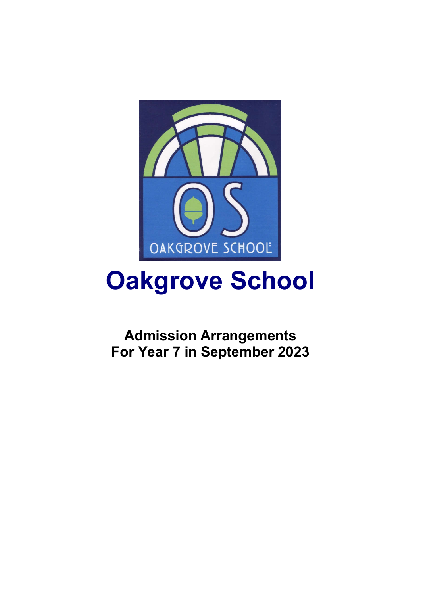

# **Oakgrove School**

**Admission Arrangements For Year 7 in September 2023**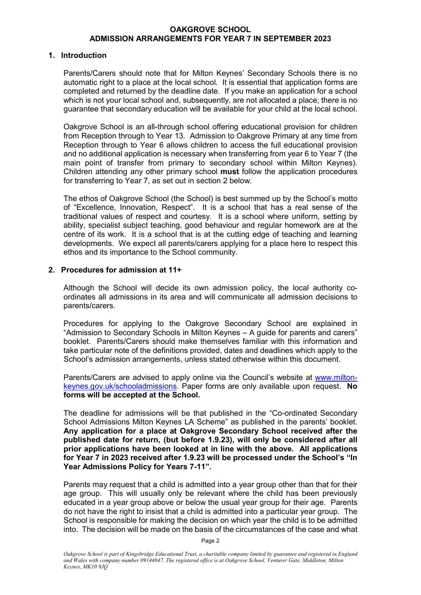#### **1. Introduction**

Parents/Carers should note that for Milton Keynes' Secondary Schools there is no automatic right to a place at the local school. It is essential that application forms are completed and returned by the deadline date. If you make an application for a school which is not your local school and, subsequently, are not allocated a place, there is no guarantee that secondary education will be available for your child at the local school.

Oakgrove School is an all-through school offering educational provision for children from Reception through to Year 13. Admission to Oakgrove Primary at any time from Reception through to Year 6 allows children to access the full educational provision and no additional application is necessary when transferring from year 6 to Year 7 (the main point of transfer from primary to secondary school within Milton Keynes). Children attending any other primary school **must** follow the application procedures for transferring to Year 7, as set out in section 2 below.

The ethos of Oakgrove School (the School) is best summed up by the School's motto of "Excellence, Innovation, Respect". It is a school that has a real sense of the traditional values of respect and courtesy. It is a school where uniform, setting by ability, specialist subject teaching, good behaviour and regular homework are at the centre of its work. It is a school that is at the cutting edge of teaching and learning developments. We expect all parents/carers applying for a place here to respect this ethos and its importance to the School community.

### **2. Procedures for admission at 11+**

Although the School will decide its own admission policy, the local authority coordinates all admissions in its area and will communicate all admission decisions to parents/carers.

Procedures for applying to the Oakgrove Secondary School are explained in "Admission to Secondary Schools in Milton Keynes – A guide for parents and carers" booklet. Parents/Carers should make themselves familiar with this information and take particular note of the definitions provided, dates and deadlines which apply to the School's admission arrangements, unless stated otherwise within this document.

Parents/Carers are advised to apply online via the Council's website at www.miltonkeynes.gov.uk/schooladmissions. Paper forms are only available upon request. **No forms will be accepted at the School.** 

The deadline for admissions will be that published in the "Co-ordinated Secondary School Admissions Milton Keynes LA Scheme" as published in the parents' booklet. **Any application for a place at Oakgrove Secondary School received after the published date for return, (but before 1.9.23), will only be considered after all prior applications have been looked at in line with the above. All applications for Year 7 in 2023 received after 1.9.23 will be processed under the School's "In Year Admissions Policy for Years 7-11".** 

Parents may request that a child is admitted into a year group other than that for their age group. This will usually only be relevant where the child has been previously educated in a year group above or below the usual year group for their age. Parents do not have the right to insist that a child is admitted into a particular year group. The School is responsible for making the decision on which year the child is to be admitted into. The decision will be made on the basis of the circumstances of the case and what

Page 2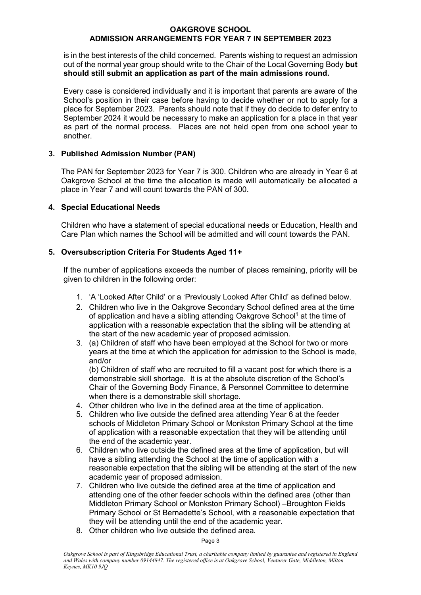is in the best interests of the child concerned. Parents wishing to request an admission out of the normal year group should write to the Chair of the Local Governing Body **but should still submit an application as part of the main admissions round.** 

Every case is considered individually and it is important that parents are aware of the School's position in their case before having to decide whether or not to apply for a place for September 2023. Parents should note that if they do decide to defer entry to September 2024 it would be necessary to make an application for a place in that year as part of the normal process. Places are not held open from one school year to another.

# **3. Published Admission Number (PAN)**

The PAN for September 2023 for Year 7 is 300. Children who are already in Year 6 at Oakgrove School at the time the allocation is made will automatically be allocated a place in Year 7 and will count towards the PAN of 300.

## **4. Special Educational Needs**

Children who have a statement of special educational needs or Education, Health and Care Plan which names the School will be admitted and will count towards the PAN.

## **5. Oversubscription Criteria For Students Aged 11+**

If the number of applications exceeds the number of places remaining, priority will be given to children in the following order:

- 1. 'A 'Looked After Child' or a 'Previously Looked After Child' as defined below.
- 2. Children who live in the Oakgrove Secondary School defined area at the time of application and have a sibling attending Oakgrove School**<sup>1</sup>** at the time of application with a reasonable expectation that the sibling will be attending at the start of the new academic year of proposed admission.
- 3. (a) Children of staff who have been employed at the School for two or more years at the time at which the application for admission to the School is made, and/or

 (b) Children of staff who are recruited to fill a vacant post for which there is a demonstrable skill shortage. It is at the absolute discretion of the School's Chair of the Governing Body Finance, & Personnel Committee to determine when there is a demonstrable skill shortage.

- 4. Other children who live in the defined area at the time of application.
- 5. Children who live outside the defined area attending Year 6 at the feeder schools of Middleton Primary School or Monkston Primary School at the time of application with a reasonable expectation that they will be attending until the end of the academic year.
- 6. Children who live outside the defined area at the time of application, but will have a sibling attending the School at the time of application with a reasonable expectation that the sibling will be attending at the start of the new academic year of proposed admission.
- 7. Children who live outside the defined area at the time of application and attending one of the other feeder schools within the defined area (other than Middleton Primary School or Monkston Primary School) –Broughton Fields Primary School or St Bernadette's School, with a reasonable expectation that they will be attending until the end of the academic year.
- 8. Other children who live outside the defined area.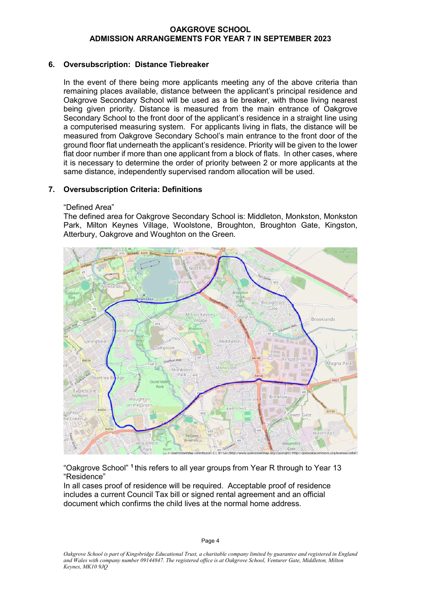# **6. Oversubscription: Distance Tiebreaker**

In the event of there being more applicants meeting any of the above criteria than remaining places available, distance between the applicant's principal residence and Oakgrove Secondary School will be used as a tie breaker, with those living nearest being given priority. Distance is measured from the main entrance of Oakgrove Secondary School to the front door of the applicant's residence in a straight line using a computerised measuring system. For applicants living in flats, the distance will be measured from Oakgrove Secondary School's main entrance to the front door of the ground floor flat underneath the applicant's residence. Priority will be given to the lower flat door number if more than one applicant from a block of flats. In other cases, where it is necessary to determine the order of priority between 2 or more applicants at the same distance, independently supervised random allocation will be used.

# **7. Oversubscription Criteria: Definitions**

### "Defined Area"

The defined area for Oakgrove Secondary School is: Middleton, Monkston, Monkston Park, Milton Keynes Village, Woolstone, Broughton, Broughton Gate, Kingston, Atterbury, Oakgrove and Woughton on the Green.



"Oakgrove School" **<sup>1</sup>** this refers to all year groups from Year R through to Year 13 "Residence"

In all cases proof of residence will be required. Acceptable proof of residence includes a current Council Tax bill or signed rental agreement and an official document which confirms the child lives at the normal home address.

Page 4